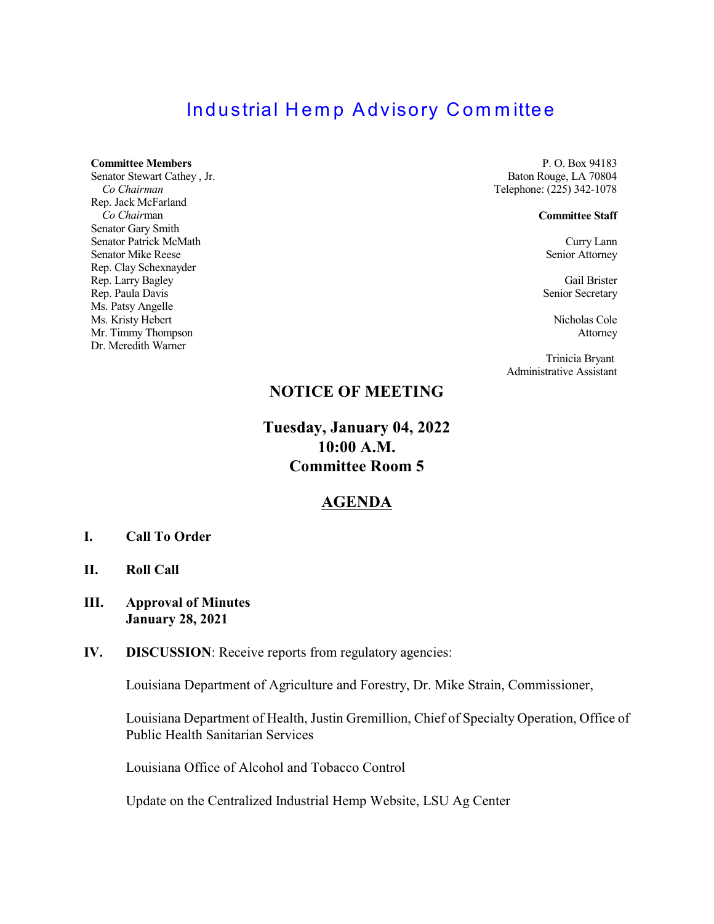# **Industrial Hemp Advisory Committee**

### **Committee Members**

Senator Stewart Cathey , Jr. *Co Chairman* Rep. Jack McFarland *Co Chair*man Senator Gary Smith Senator Patrick McMath Senator Mike Reese Rep. Clay Schexnayder Rep. Larry Bagley Rep. Paula Davis Ms. Patsy Angelle Ms. Kristy Hebert Mr. Timmy Thompson Dr. Meredith Warner

P. O. Box 94183 Baton Rouge, LA 70804 Telephone: (225) 342-1078

#### **Committee Staff**

Curry Lann Senior Attorney

Gail Brister Senior Secretary

Nicholas Cole Attorney

Trinicia Bryant Administrative Assistant

## **NOTICE OF MEETING**

**Tuesday, January 04, 2022 10:00 A.M. Committee Room 5**

### **AGENDA**

- **I. Call To Order**
- **II. Roll Call**
- **III. Approval of Minutes January 28, 2021**
- **IV. DISCUSSION**: Receive reports from regulatory agencies:

Louisiana Department of Agriculture and Forestry, Dr. Mike Strain, Commissioner,

Louisiana Department of Health, Justin Gremillion, Chief of Specialty Operation, Office of Public Health Sanitarian Services

Louisiana Office of Alcohol and Tobacco Control

Update on the Centralized Industrial Hemp Website, LSU Ag Center